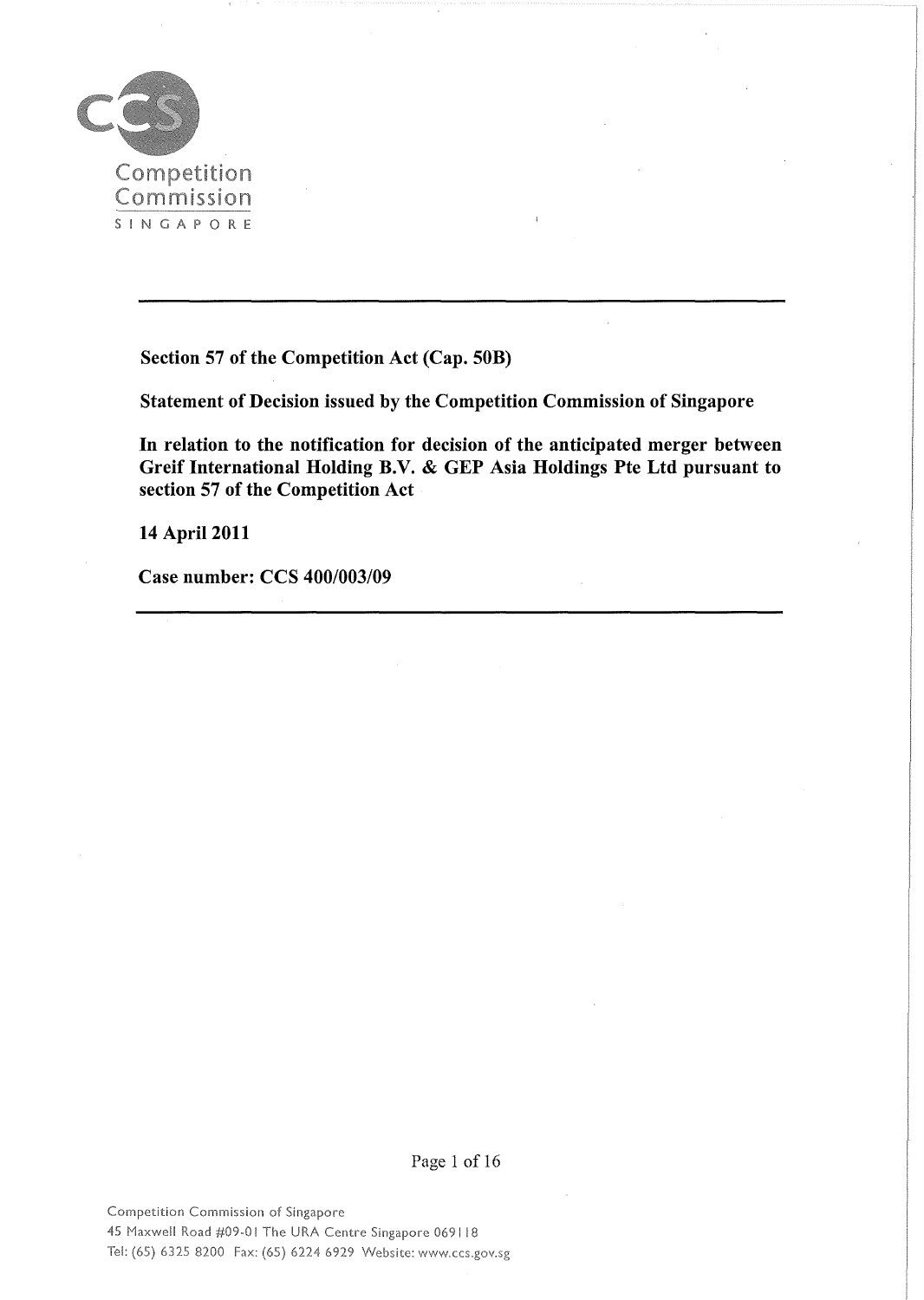

Section 57 of the Competition Act (Cap. SOB)

Statement of Decision issued by the Competition Commission of Singapore

In relation to the notification for decision of the anticipated merger between Greif International Holding B.V. & GEP Asia Holdings Pte Ltd pursuant to section 57 of the Competition Act

14 April 2011

Case number: CCS *400/003/09*

Page 1 of 16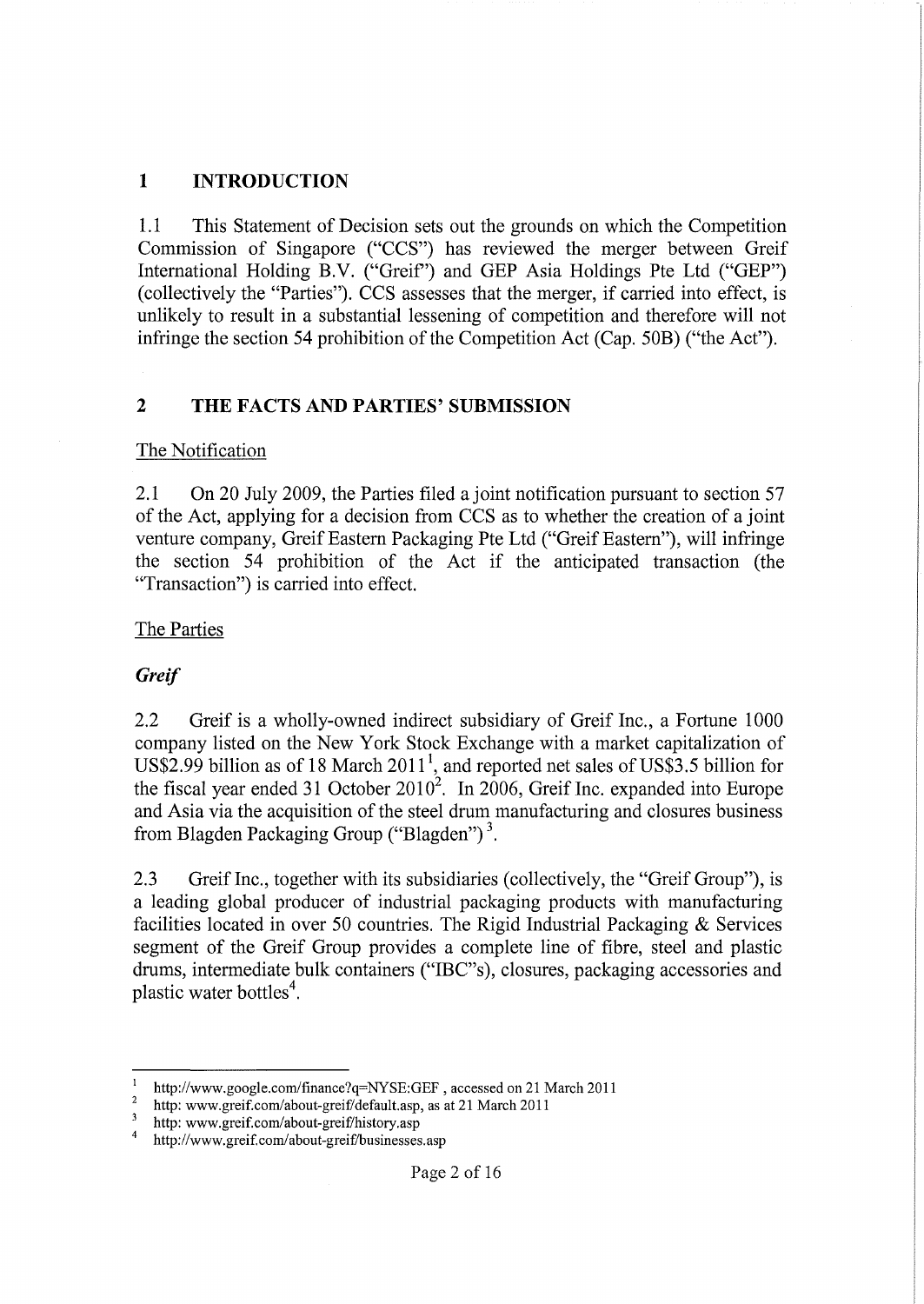## **1 INTRODUCTION**

1.1 This Statement of Decision sets out the grounds on which the Competition Commission of Singapore ("CCS") has reviewed the merger between Greif International Holding B.V. ("Greif') and GEP Asia Holdings Pte Ltd ("GEP") (collectively the "Parties"). CCS assesses that the merger, if carried into effect, is unlikely to result in a substantial lessening of competition and therefore will not infringe the section 54 prohibition of the Competition Act (Cap. 50B) ("the Act").

## **2 THE FACTS AND PARTIES' SUBMISSION**

#### The Notification

2.1 On 20 July 2009, the Parties filed a joint notification pursuant to section 57 of the Act, applying for a decision from CCS as to whether the creation of a joint venture company, Greif Eastern Packaging Pte Ltd ("Greif Eastern"), will infringe the section 54 prohibition of the Act if the anticipated transaction (the "Transaction") is carried into effect.

#### The Parties

### *Greif*

2.2 Greif is a wholly-owned indirect subsidiary of Greif Inc., a Fortune 1000 company listed on the New York Stock Exchange with a market capitalization of US\$2.99 billion as of 18 March  $2011<sup>1</sup>$ , and reported net sales of US\$3.5 billion for the fiscal year ended 31 October  $2010^2$ . In 2006, Greif Inc. expanded into Europe and Asia via the acquisition of the steel drum manufacturing and closures business from Blagden Packaging Group ("Blagden") 3.

2.3 Greif Inc., together with its subsidiaries (collectively, the "Greif Group"), is a leading global producer of industrial packaging products with manufacturing facilities located in over 50 countries. The Rigid Industrial Packaging & Services segment of the Greif Group provides a complete line of fibre, steel and plastic drums, intermediate bulk containers ("IBC"s), closures, packaging accessories and plastic water bottles<sup>4</sup>.

<sup>&</sup>lt;sup>1</sup> http://www.google.com/finance?q=NYSE:GEF, accessed on 21 March 2011

<sup>&</sup>lt;sup>2</sup> http: www.greif.com/about-greif/default.asp, as at 21 March 2011<br><sup>3</sup> http://www.greif.com/about-greif/history.com

<sup>&</sup>lt;sup>3</sup> http: www.greif.com/about-greif/history.asp<br> $\frac{4}{1}$  http://www.greif.com/about-greif/husinesses

http://www.greif.com/about-greif/businesses.asp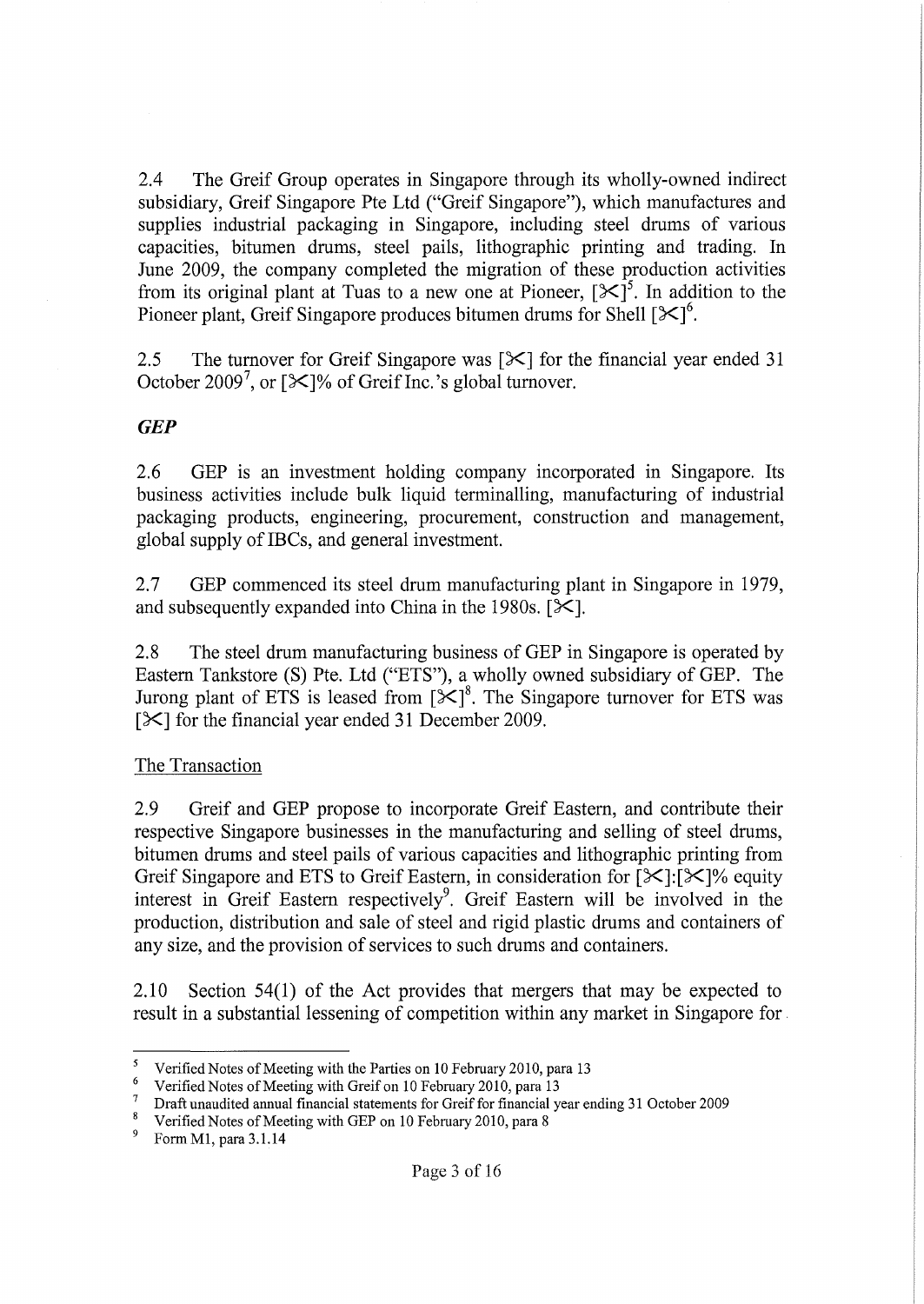2.4 The Greif Group operates in Singapore through its wholly-owned indirect subsidiary, Greif Singapore Pte Ltd ("Greif Singapore"), which manufactures and supplies industrial packaging in Singapore, including steel drums of various capacities, bitumen drums, steel pails, lithographic printing and trading. **In** June 2009, the company completed the migration of these production activities from its original plant at Tuas to a new one at Pioneer,  $[\mathcal{K}]^5$ . In addition to the Pioneer plant, Greif Singapore produces bitumen drums for Shell  $[\mathcal{K}]^6$ .

2.5 The turnover for Greif Singapore was  $[\mathcal{K}]$  for the financial year ended 31 October 2009<sup>7</sup>, or [ $\mathbb{X}$ ]% of Greif Inc.'s global turnover.

### *GEP*

2.6 GEP is an investment holding company incorporated in Singapore. Its business activities include bulk liquid terminalling, manufacturing of industrial packaging products, engineering, procurement, construction and management, global supply of IBCs, and general investment.

2.7 GEP commenced its steel drum manufacturing plant in Singapore in 1979, and subsequently expanded into China in the 1980s.  $[\mathcal{K}]$ .

2.8 The steel drum manufacturing business of GEP in Singapore is operated by Eastern Tankstore (S) Pte. Ltd ("ETS"), a wholly owned subsidiary of GEP. The Jurong plant of ETS is leased from  $[\mathcal{K}]^8$ . The Singapore turnover for ETS was [ $\mathcal{K}$ ] for the financial year ended 31 December 2009.

#### The Transaction

2.9 Greif and GEP propose to incorporate Greif Eastern, and contribute their respective Singapore businesses in the manufacturing and selling of steel drums, bitumen drums and steel pails of various capacities and lithographic printing from Greif Singapore and ETS to Greif Eastern, in consideration for  $[\mathcal{K}][\mathcal{K}]\%$  equity interest in Greif Eastern respectively<sup>9</sup>. Greif Eastern will be involved in the production, distribution and sale of steel and rigid plastic drums and containers of any size, and the provision of services to such drums and containers.

2.10 Section  $54(1)$  of the Act provides that mergers that may be expected to result in a substantial lessening of competition within any market in Singapore for.

Form M1, para 3.1.14

<sup>&</sup>lt;sup>5</sup> Verified Notes of Meeting with the Parties on 10 February 2010, para 13

<sup>&</sup>lt;sup>6</sup> Verified Notes of Meeting with Greif on 10 February 2010, para 13

 $\frac{7}{8}$  Draft unaudited annual financial statements for Greif for financial year ending 31 October 2009

<sup>&</sup>lt;sup>8</sup> Verified Notes of Meeting with GEP on 10 February 2010, para 8<br><sup>9</sup> Eorm M1 para 3.1.14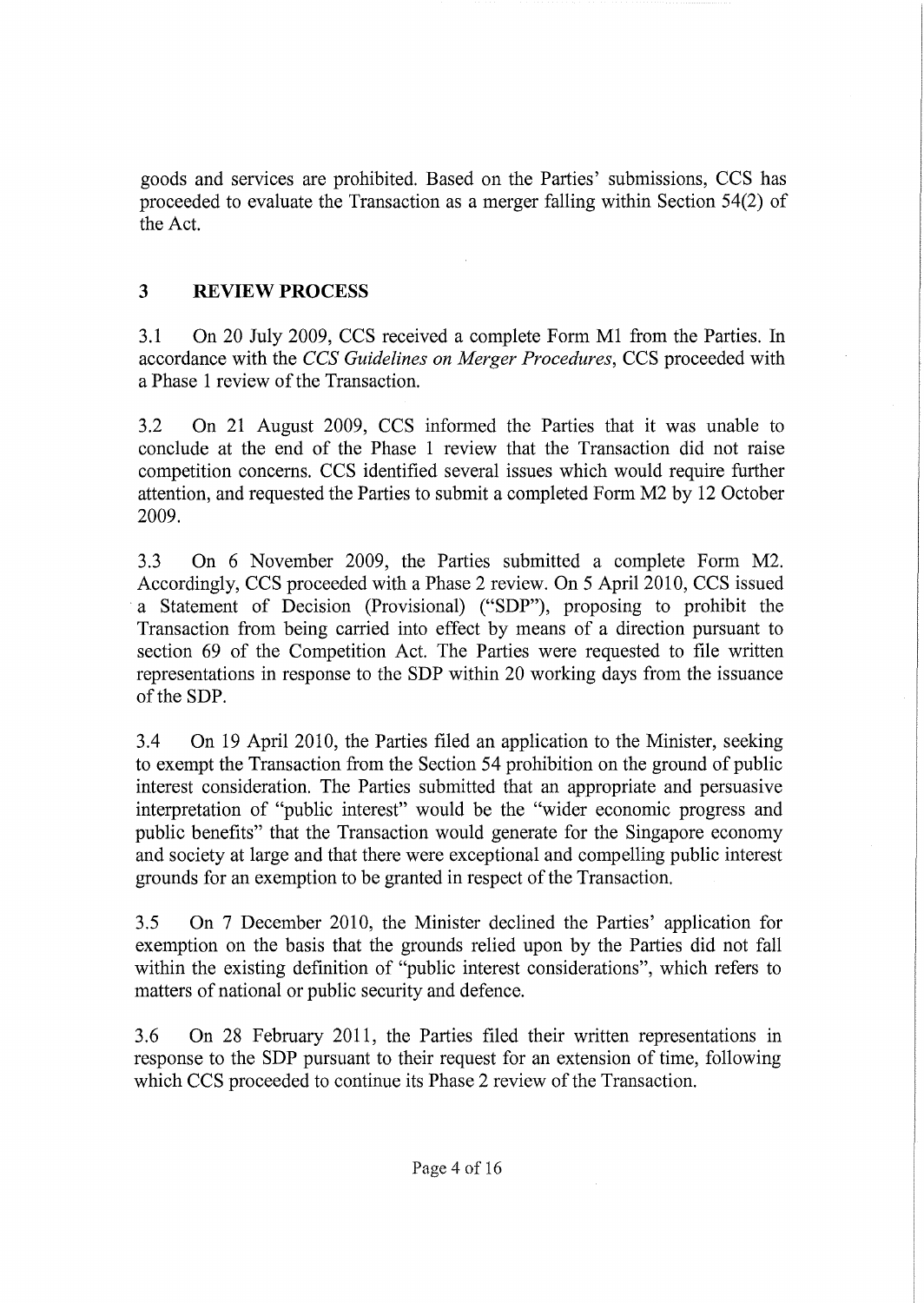goods and services are prohibited. Based on the Parties' submissions, CCS has proceeded to evaluate the Transaction as a merger falling within Section 54(2) of the Act.

# 3 **REVIEW PROCESS**

3.1 On 20 July 2009, CCS received a complete Form M1 from the Parties. In accordance with the *CCS Guidelines on Merger Procedures,* CCS proceeded with a Phase 1 review of the Transaction.

3.2 On 21 August 2009, CCS informed the Parties that it was unable to conclude at the end of the Phase 1 review that the Transaction did not raise competition concerns. CCS identified several issues which would require further attention, and requested the Parties to submit a completed Form M2 by 12 October 2009.

3.3 On 6 November 2009, the Parties submitted a complete Form M2. Accordingly, CCS proceeded with a Phase 2 review. On 5 April 2010, CCS issued a Statement of Decision (Provisional) ("SDP"), proposing to prohibit the Transaction from being carried into effect by means of a direction pursuant to section 69 of the Competition Act. The Parties were requested to file written representations in response to the SDP within 20 working days from the issuance of the SDP.

3.4 On 19 April 2010, the Parties filed an application to the Minister, seeking to exempt the Transaction from the Section 54 prohibition on the ground of public interest consideration. The Parties submitted that an appropriate and persuasive interpretation of "public interest" would be the "wider economic progress and public benefits" that the Transaction would generate for the Singapore economy and society at large and that there were exceptional and compelling public interest grounds for an exemption to be granted in respect of the Transaction.

3.5 On 7 December 2010, the Minister declined the Parties' application for exemption on the basis that the grounds relied upon by the Parties did not fall within the existing definition of "public interest considerations", which refers to matters of national or public security and defence.

3.6 On 28 February 2011, the Parties filed their written representations in response to the SDP pursuant to their request for an extension of time, following which CCS proceeded to continue its Phase 2 review of the Transaction.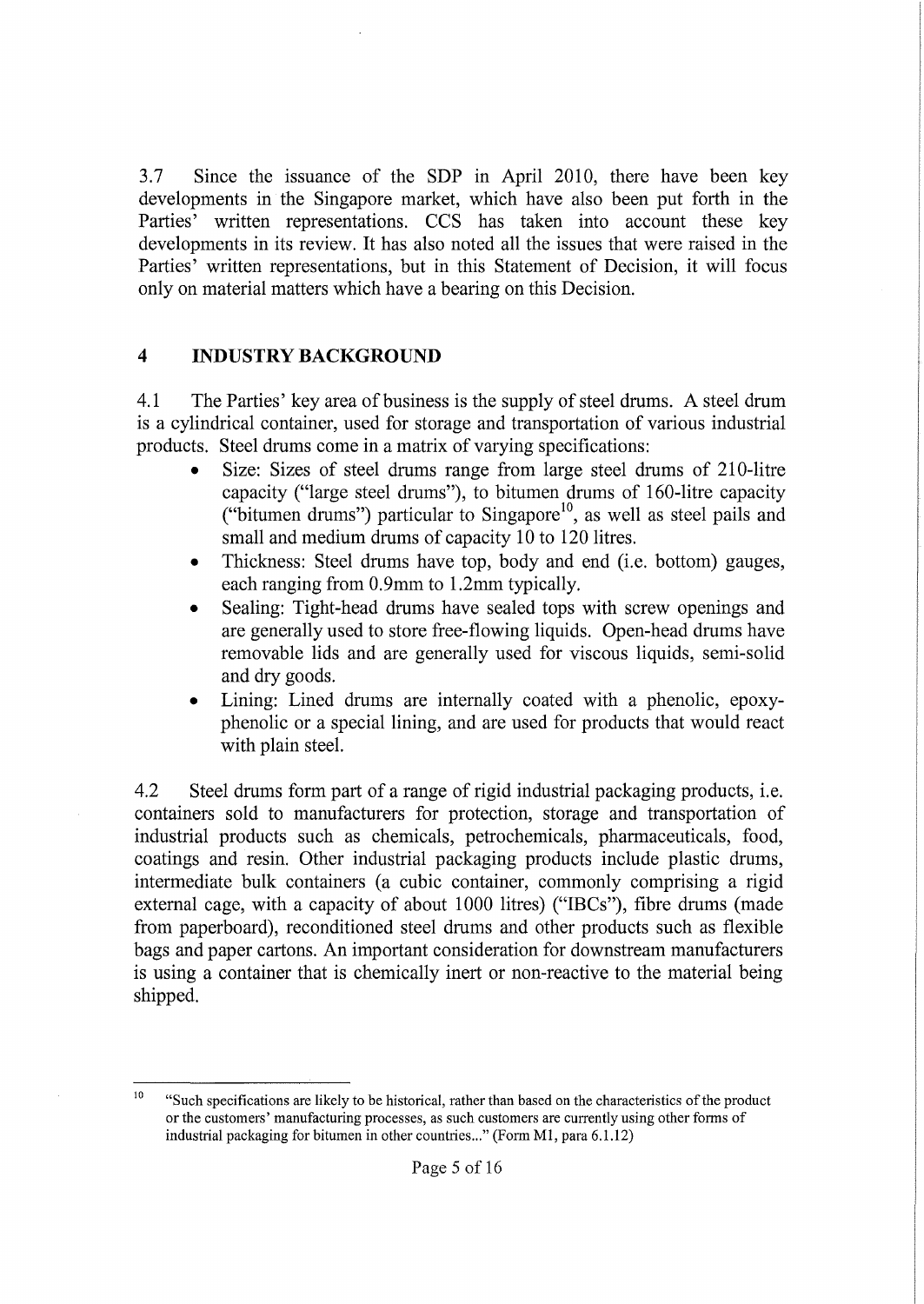3.7 Since the issuance of the SDP in April 2010, there have been key developments in the Singapore market, which have also been put forth in the Parties' written representations. CCS has taken into account these key developments in its review. It has also noted all the issues that were raised in the Parties' written representations, but in this Statement of Decision, it will focus only on material matters which have a bearing on this Decision.

# **4** INDUSTRY BACKGROUND

4.1 The Parties' key area of business is the supply of steel drums. A steel drum is a cylindrical container, used for storage and transportation of various industrial products. Steel drums come in a matrix of varying specifications:

- Size: Sizes of steel drums range from large steel drums of 210-litre capacity ("large steel drums"), to bitumen drums of l60-litre capacity ("bitumen drums") particular to Singapore<sup>10</sup>, as well as steel pails and small and medium drums of capacity 10 to 120 litres.
- Thickness: Steel drums have top, body and end (i.e. bottom) gauges, each ranging from 0.9mm to 1.2mm typically.
- Sealing: Tight-head drums have sealed tops with screw openings and are generally used to store free-flowing liquids. Open-head drums have removable lids and are generally used for viscous liquids, semi-solid and dry goods.
- Lining: Lined drums are internally coated with a phenolic, epoxyphenolic or a special lining, and are used for products that would react with plain steel.

4.2 Steel drums form part of a range of rigid industrial packaging products, i.e. containers sold to manufacturers for protection, storage and transportation of industrial products such as chemicals, petrochemicals, pharmaceuticals, food, coatings and resin. Other industrial packaging products include plastic drums, intermediate bulk containers (a cubic container, commonly comprising a rigid external cage, with a capacity of about 1000 litres) ("IBCs"), fibre drums (made from paperboard), reconditioned steel drums and other products such as flexible bags and paper cartons. An important consideration for downstream manufacturers is using a container that is chemically inert or non-reactive to the material being shipped.

<sup>&</sup>lt;sup>10</sup> "Such specifications are likely to be historical, rather than based on the characteristics of the product or the customers' manufacturing processes, as such customers are currently using other forms of industrial packaging for bitumen in other countries..." (Form Ml, para 6.1.12)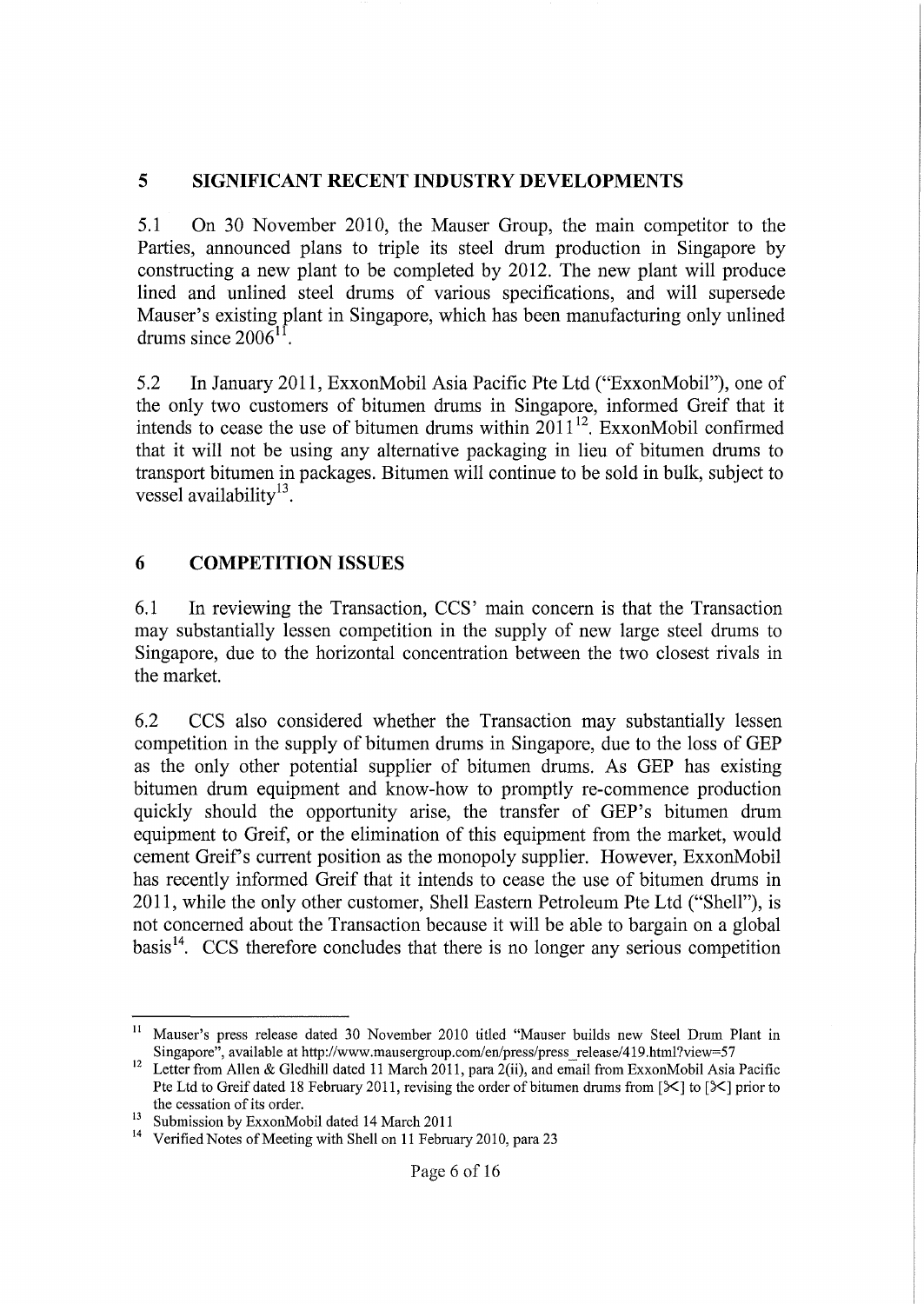### **5 SIGNIFICANT RECENT INDUSTRY DEVELOPMENTS**

5.1 On 30 November 2010, the Mauser Group, the main competitor to the Parties, announced plans to triple its steel drum production in Singapore by constructing a new plant to be completed by 2012. The new plant will produce lined and unlined steel drums of various specifications, and will supersede Mauser's existing plant in Singapore, which has been manufacturing only unlined drums since  $2006^{11}$ .

5.2 In January 2011, ExxonMobil Asia Pacific Pte Ltd ("ExxonMobil"), one of the only two customers of bitumen drums in Singapore, informed Greif that it intends to cease the use of bitumen drums within  $2011^{12}$ . ExxonMobil confirmed that it will not be using any alternative packaging in lieu of bitumen drums to transport bitumen in packages. Bitumen will continue to be sold in bulk, subject to vessel availability<sup>13</sup>.

## **6 COMPETITION ISSUES**

6.1 In reviewing the Transaction, CCS' main concern is that the Transaction may substantially lessen competition in the supply of new large steel drums to Singapore, due to the horizontal concentration between the two closest rivals in the market.

6.2 CCS also considered whether the Transaction may substantially lessen competition in the supply of bitumen drums in Singapore, due to the loss of GEP as the only other potential supplier of bitumen drums. As GEP has existing bitumen drum equipment and know-how to promptly re-commence production quickly should the opportunity arise, the transfer of GEP's bitumen drum equipment to Greif, or the elimination of this equipment from the market, would cement Greif's current position as the monopoly supplier. However, ExxonMobil has recently informed Greif that it intends to cease the use of bitumen drums in 2011, while the only other customer, Shell Eastern Petroleum Pte Ltd ("Shell"), is not concerned about the Transaction because it will be able to bargain on a global basis<sup>14</sup>. CCS therefore concludes that there is no longer any serious competition

<sup>&</sup>lt;sup>11</sup> Mauser's press release dated 30 November 2010 titled "Mauser builds new Steel Drum Plant in Singapore", available at http://www.mausergroup.com/en/press/press release/419.html?view=57

<sup>&</sup>lt;sup>12</sup> Letter from Allen & Gledhill dated 11 March 2011, para 2(ii), and email from ExxonMobil Asia Pacific Pte Ltd to Greif dated 18 February 2011, revising the order of bitumen drums from  $[\mathbb{X}]$  to  $[\mathbb{X}]$  prior to the cessation of its order.

<sup>&</sup>lt;sup>13</sup> Submission by ExxonMobil dated 14 March 2011

<sup>&</sup>lt;sup>14</sup> Verified Notes of Meeting with Shell on 11 February 2010, para 23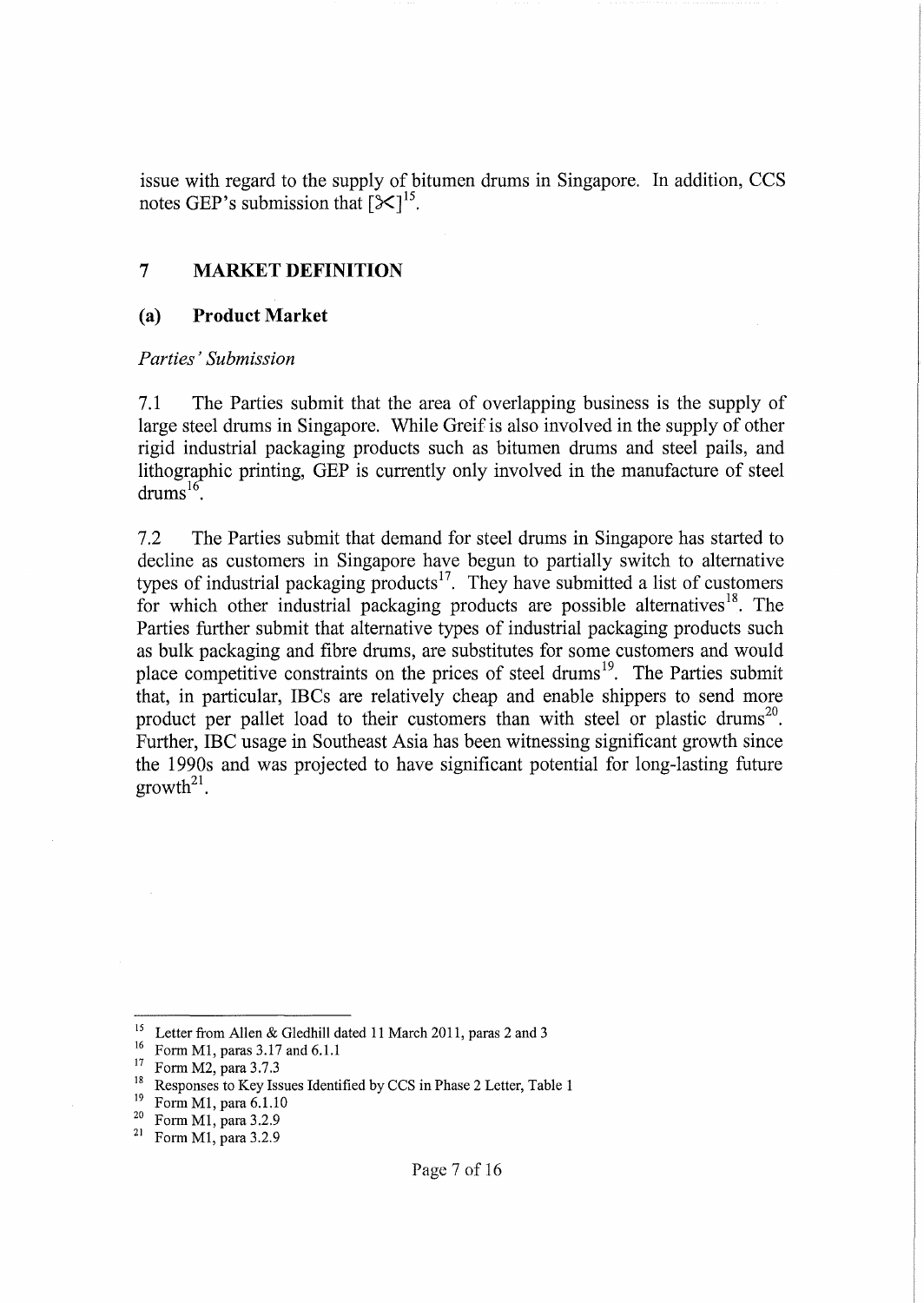issue with regard to the supply of bitumen drums in Singapore. In addition, CCS notes GEP's submission that  $[\mathcal{K}]^{15}$ .

#### **7 MARKET DEFINITION**

#### **(a) Product Market**

#### *Parties'Submission*

7.1 The Parties submit that the area of overlapping business is the supply of large steel drums in Singapore. While Greif is also involved in the supply of other rigid industrial packaging products such as bitumen drums and steel pails, and lithographic printing, GEP is currently only involved in the manufacture of steel  $drums^{16}$ .

7.2 The Parties submit that demand for steel drums in Singapore has started to decline as customers in Singapore have begun to partially switch to alternative types of industrial packaging products<sup>17</sup>. They have submitted a list of customers for which other industrial packaging products are possible alternatives<sup>18</sup>. The Parties further submit that alternative types of industrial packaging products such as bulk packaging and fibre drums, are substitutes for some customers and would place competitive constraints on the prices of steel drums<sup>19</sup>. The Parties submit that, in particular, IBCs are relatively cheap and enable shippers to send more product per pallet load to their customers than with steel or plastic drums<sup>20</sup>. Further, IBC usage in Southeast Asia has been witnessing significant growth since the 1990s and was projected to have significant potential for long-lasting future  $growth<sup>21</sup>$ .

<sup>&</sup>lt;sup>15</sup> Letter from Allen & Gledhill dated 11 March 2011, paras 2 and 3

<sup>&</sup>lt;sup>16</sup> Form M1, paras 3.17 and 6.1.1

<sup>17</sup> Form M2, para 3.7.3

<sup>&</sup>lt;sup>18</sup> Responses to Key Issues Identified by CCS in Phase 2 Letter, Table 1

<sup>&</sup>lt;sup>19</sup> Form M1, para 6.1.10<br><sup>20</sup> Form M1, para 3.2.0

 $^{20}$  Form M1, para 3.2.9<br><sup>21</sup> Form M1 para 3.2.9

Form M1, para  $3.2.9$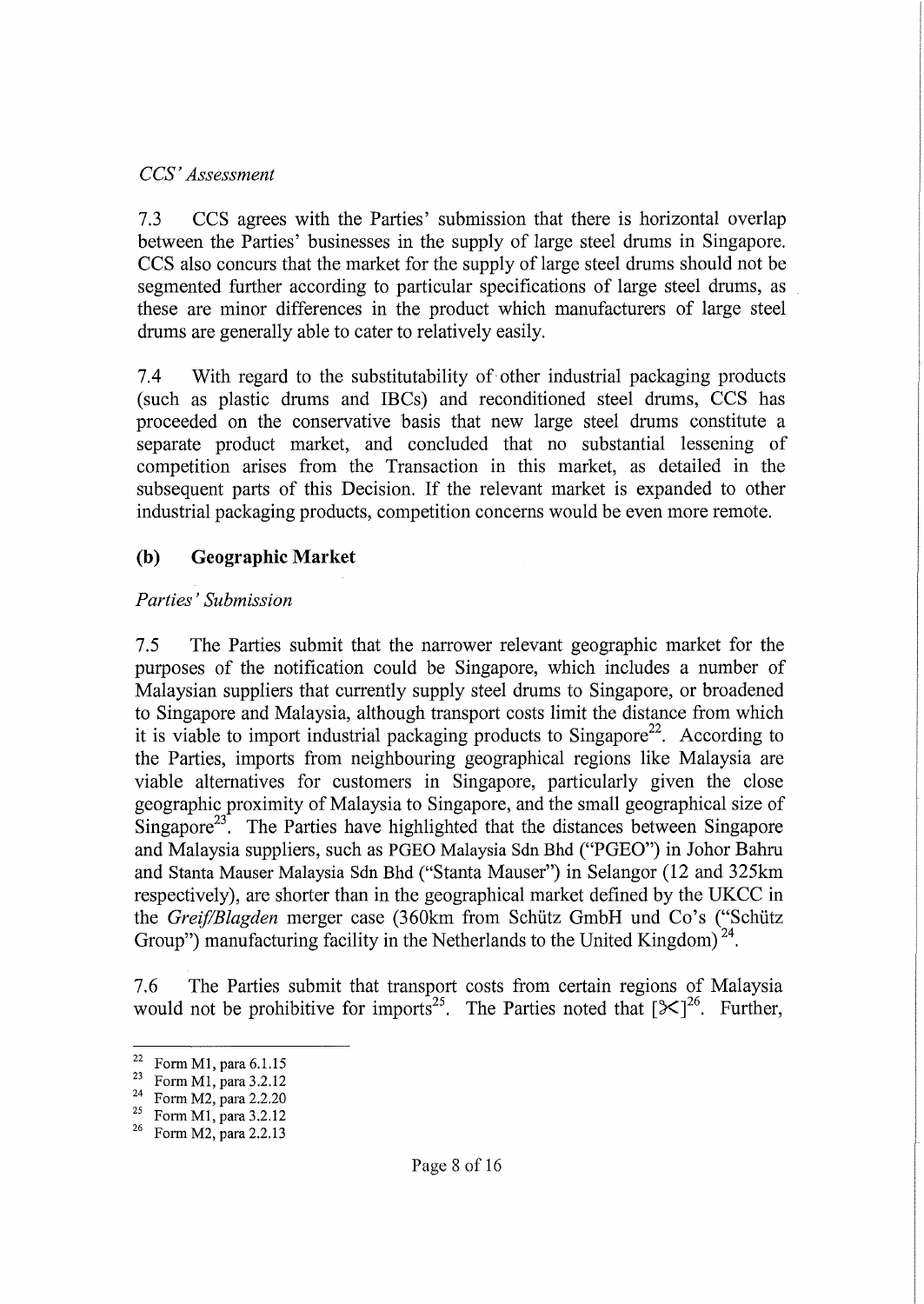#### *CCS' Assessment*

7.3 CCS agrees with the Parties' submission that there is horizontal overlap between the Parties' businesses in the supply of large steel drums in Singapore. CCS also concurs that the market for the supply of large steel drums should not be segmented further according to particular specifications of large steel drums, as these are minor differences in the product which manufacturers of large steel drums are generally able to cater to relatively easily.

7.4 With regard to the substitutability of other industrial packaging products (such as plastic drums and IBCs) and reconditioned steel drums, CCS has proceeded on the conservative basis that new large steel drums constitute a separate product market, and concluded that no substantial lessening of competition arises from the Transaction in this market, as detailed in the subsequent parts of this Decision. If the relevant market is expanded to other industrial packaging products, competition concerns would be even more remote.

## **(b) Geographic Market**

### *Parties' Submission*

7.5 The Parties submit that the narrower relevant geographic market for the purposes of the notification could be Singapore, which includes a number of Malaysian suppliers that currently supply steel drums to Singapore, or broadened to Singapore and Malaysia, although transport costs limit the distance from which it is viable to import industrial packaging products to Singapore<sup>22</sup>. According to the Parties, imports from neighbouring geographical regions like Malaysia are viable alternatives for customers in Singapore, particularly given the close geographic proximity of Malaysia to Singapore, and the small geographical size of Singapore<sup>23</sup>. The Parties have highlighted that the distances between Singapore and Malaysia suppliers, such as PGEO Malaysia Sdn Bhd ("PGEO") in lohor Bahru and Stanta Mauser Malaysia Sdn Bhd ("Stanta Mauser") in Selangor (12 and 325km respectively), are shorter than in the geographical market defined by the UKCC in the *Greif/Blagden* merger case (360km from Schutz GmbH und Co's ("Schutz Group") manufacturing facility in the Netherlands to the United Kingdom)<sup>24</sup>.

7.6 The Parties submit that transport costs from certain regions of Malaysia would not be prohibitive for imports<sup>25</sup>. The Parties noted that  $[\mathcal{K}]^{26}$ . Further,

<sup>&</sup>lt;sup>22</sup> Form M1, para  $6.1.15$ 

<sup>&</sup>lt;sup>23</sup> Form M1, para 3.2.12<br><sup>24</sup> Form M2, name 2.2.20

 $^{24}$  Form M2, para 2.2.20<br> $^{25}$  Form M1, para 3.2.12

Form M1, para 3.2.12

<sup>&</sup>lt;sup>26</sup> Form M2, para 2.2.13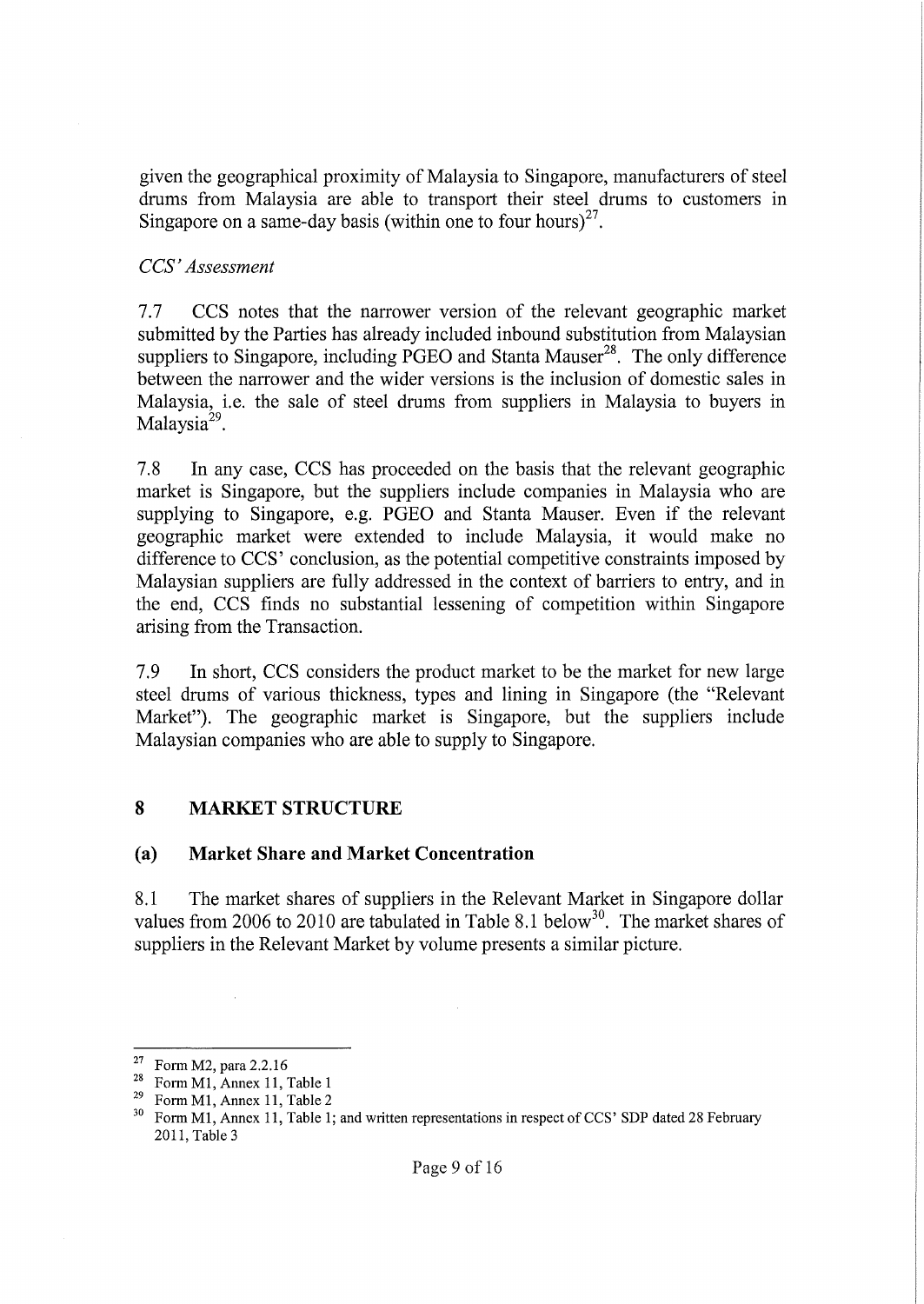given the geographical proximity of Malaysia to Singapore, manufacturers of steel drums from Malaysia are able to transport their steel drums to customers in Singapore on a same-day basis (within one to four hours)<sup>27</sup>.

#### *CCS' Assessment*

7.7 CCS notes that the narrower version of the relevant geographic market submitted by the Parties has already included inbound substitution from Malaysian suppliers to Singapore, including PGEO and Stanta Mauser $^{28}$ . The only difference between the narrower and the wider versions is the inclusion of domestic sales in Malaysia, i.e. the sale of steel drums from suppliers in Malaysia to buyers in Malaysia<sup>29</sup>.

7.8 In any case, CCS has proceeded on the basis that the relevant geographic market is Singapore, but the suppliers include companies in Malaysia who are supplying to Singapore, e.g. PGEO and Stanta Mauser. Even if the relevant geographic market were extended to include Malaysia, it would make no difference to CCS' conclusion, as the potential competitive constraints imposed by Malaysian suppliers are fully addressed in the context of barriers to entry, and in the end, CCS finds no substantial lessening of competition within Singapore arising from the Transaction.

7.9 In short, CCS considers the product market to be the market for new large steel drums of various thickness, types and lining in Singapore (the "Relevant Market"). The geographic market is Singapore, but the suppliers include Malaysian companies who are able to supply to Singapore.

### **8** MARKET STRUCTURE

#### (a) **Market Share and Market Concentration**

8.1 The market shares of suppliers in the Relevant Market in Singapore dollar values from 2006 to 2010 are tabulated in Table 8.1 below<sup>30</sup>. The market shares of suppliers in the Relevant Market by volume presents a similar picture.

<sup>&</sup>lt;sup>27</sup> Form M2, para 2.2.16

<sup>&</sup>lt;sup>28</sup> Form M1, Annex 11, Table 1<br><sup>29</sup> Form M1, Annex 11, Table 2

<sup>&</sup>lt;sup>29</sup> Form M1, Annex 11, Table 2<br><sup>30</sup> Form M1, Annex 11, Table 1.

Form M1, Annex 11, Table 1; and written representations in respect of CCS' SDP dated 28 February 2011, Table3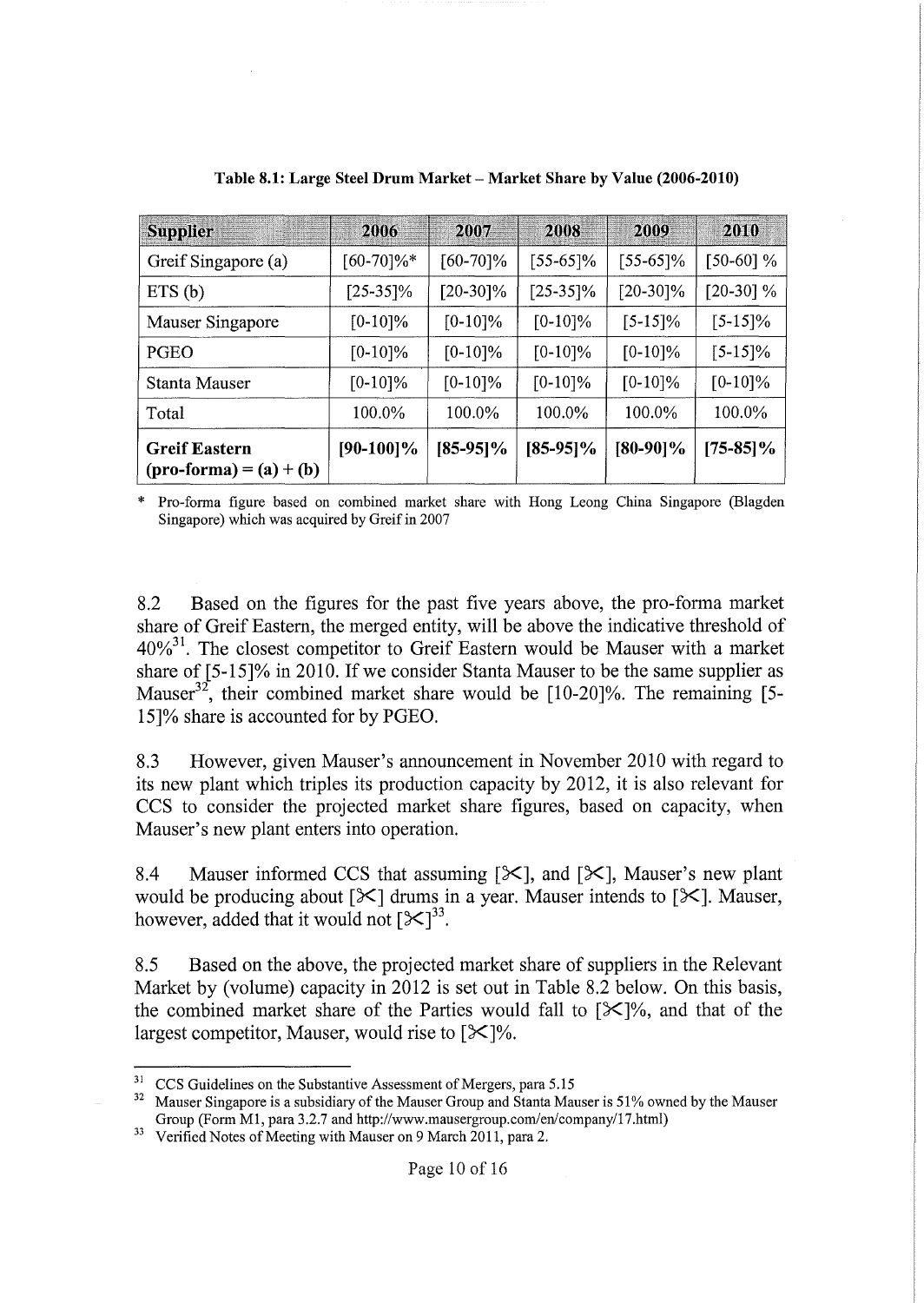| <b>Supplier</b>                                          | 2006          | 2007        | 2008        | 2009        | 2010        |
|----------------------------------------------------------|---------------|-------------|-------------|-------------|-------------|
| Greif Singapore (a)                                      | $[60-70]\%$ * | $[60-70]\%$ | [55-65]%    | $[55-65]\%$ | $[50-60]$ % |
| ETS(b)                                                   | $[25-35]\%$   | $[20-30]\%$ | $[25-35]\%$ | $[20-30]\%$ | $[20-30]$ % |
| Mauser Singapore                                         | $[0-10]\%$    | $[0-10]\%$  | $[0-10]\%$  | $[5-15]\%$  | $[5-15]\%$  |
| PGEO                                                     | $[0-10]\%$    | $[0-10]\%$  | $[0-10]\%$  | $[0-10]\%$  | $[5-15]\%$  |
| Stanta Mauser                                            | $[0-10]\%$    | $[0-10]\%$  | $[0-10]\%$  | $[0-10]\%$  | $[0-10]\%$  |
| Total                                                    | 100.0%        | 100.0%      | 100.0%      | 100.0%      | 100.0%      |
| <b>Greif Eastern</b><br>$(\text{pro-forma}) = (a) + (b)$ | $[90-100]\%$  | $[85-95]\%$ | $[85-95]\%$ | $[80-90]\%$ | $[75-85]\%$ |

**Table 8.1: Large Steel Drum Market - Market Share by Value (2006-2010)**

\* Pro-forma figure based on combined market share with Hong Leong China Singapore (Blagden Singapore) which was acquired by Greif in 2007

8.2 Based on the figures for the past five years above, the pro-forma market share of Greif Eastern, the merged entity, will be above the indicative threshold of  $40\%$ <sup>31</sup>. The closest competitor to Greif Eastern would be Mauser with a market share of [5-15]% in 2010. If we consider Stanta Mauser to be the same supplier as Mauser<sup>32</sup>, their combined market share would be  $[10-20]\%$ . The remaining [5-15]% share is accounted for by PGEO.

8.3 However, given Mauser's announcement in November 2010 with regard to its new plant which triples its production capacity by 2012, it is also relevant for CCS to consider the projected market share figures, based on capacity, when Mauser's new plant enters into operation.

8.4 Mauser informed CCS that assuming  $[\mathcal{K}]$ , and  $[\mathcal{K}]$ , Mauser's new plant would be producing about  $[\mathcal{K}]$  drums in a year. Mauser intends to  $[\mathcal{K}]$ . Mauser, however, added that it would not  $[\mathcal{K}]^{33}$ .

8.5 Based on the above, the projected market share of suppliers in the Relevant Market by (volume) capacity in 2012 is set out in Table 8.2 below. On this basis, the combined market share of the Parties would fall to  $[\mathcal{K}]$ %, and that of the largest competitor, Mauser, would rise to  $[\mathcal{K}]\%$ .

<sup>&</sup>lt;sup>31</sup> CCS Guidelines on the Substantive Assessment of Mergers, para 5.15<sup>32</sup> Maugar Singapore is a subsidiary of the Maugar Group and Stanta Mau

Mauser Singapore is a subsidiary of the Mauser Group and Stanta Mauser is 51% owned by the Mauser Group (Form M1, para 3.2.7 and http://www.mausergroup.com/en/company/17.html)

<sup>&</sup>lt;sup>33</sup> Verified Notes of Meeting with Mauser on 9 March 2011, para 2.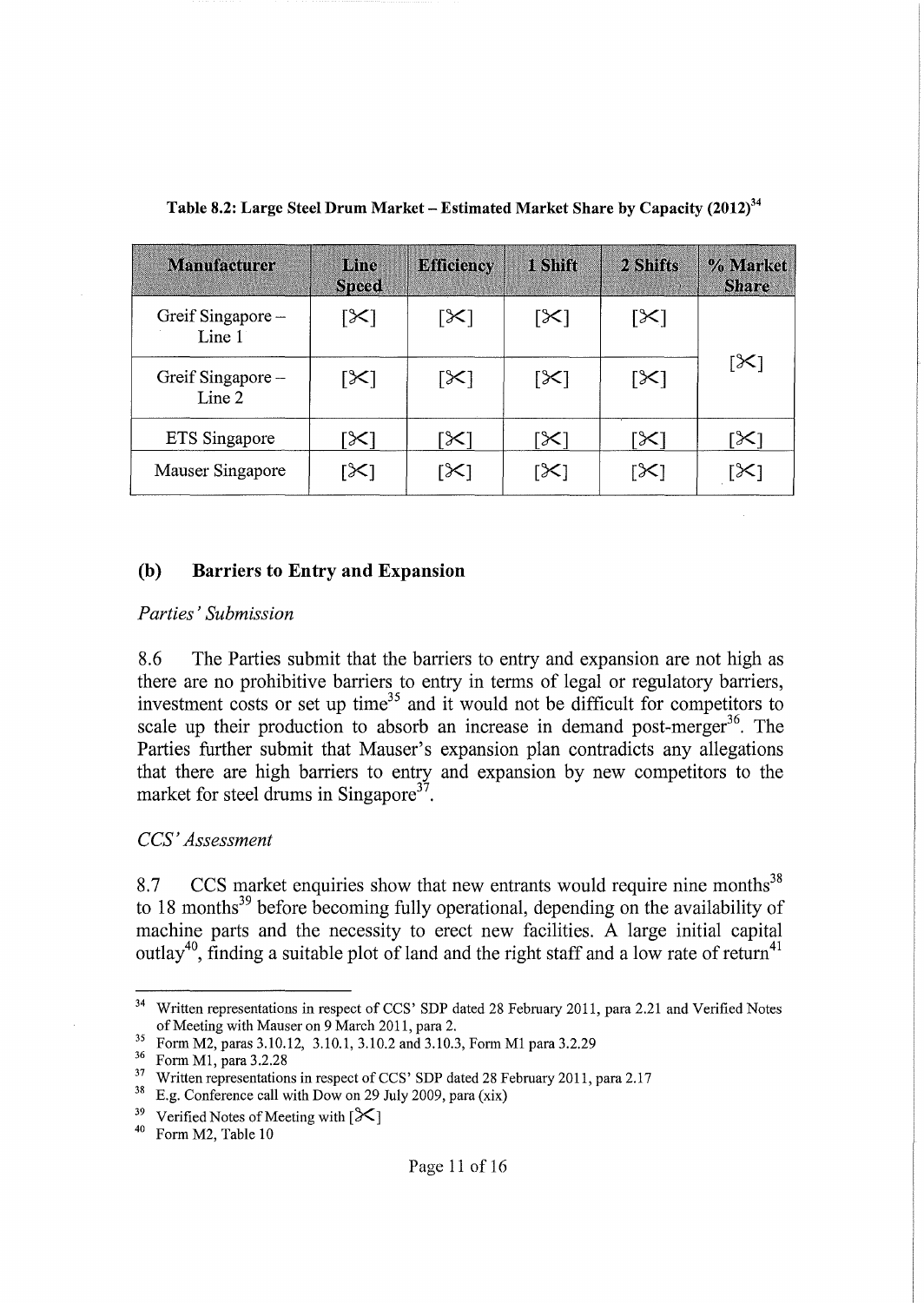| <b>Manufacturer</b>        | Line<br><b>Speed</b> | <b>Efficiency</b> | 1 Shift               | 2 Shifts | % Market<br><b>Share</b> |
|----------------------------|----------------------|-------------------|-----------------------|----------|--------------------------|
| Greif Singapore-<br>Line 1 | ן≫ן                  | [╳]               | $\left[\times\right]$ | [X]      |                          |
| Greif Singapore-<br>Line 2 | [X]                  | [╳]               | [X]                   | [╳]      | [X]                      |
| ETS Singapore              | [X]                  | X                 | ╳                     | X        | ╳                        |
| Mauser Singapore           | ╳                    | ℅                 | $\times$              | ╳        |                          |

**Table 8.2: Large Steel Drum Market - Estimated Market Share by Capacity (2012)34**

#### **(b) Barriers to Entry and Expansion**

#### *Parties'Submission*

8.6 The Parties submit that the barriers to entry and expansion are not high as there are no prohibitive barriers to entry in terms of legal or regulatory barriers, investment costs or set up time<sup>35</sup> and it would not be difficult for competitors to scale up their production to absorb an increase in demand post-merger<sup>36</sup>. The Parties further submit that Mauser's expansion plan contradicts any allegations that there are high barriers to entry and expansion by new competitors to the market for steel drums in Singapore<sup>37</sup>.

### *CCS' Assessment*

8.7 CCS market enquiries show that new entrants would require nine months<sup>38</sup> to 18 months<sup>39</sup> before becoming fully operational, depending on the availability of machine parts and the necessity to erect new facilities. A large initial capital outlay<sup>40</sup>, finding a suitable plot of land and the right staff and a low rate of return<sup>41</sup>

<sup>&</sup>lt;sup>34</sup> Written representations in respect of CCS' SDP dated 28 February 2011, para 2.21 and Verified Notes of Meeting with Mauser on 9 March 2011, para 2.

<sup>&</sup>lt;sup>35</sup> Form M2, paras 3.10.12, 3.10.1, 3.10.2 and 3.10.3, Form M1 para 3.2.29

<sup>36</sup> Form Ml, para 3.2.28

<sup>&</sup>lt;sup>37</sup> Written representations in respect of CCS' SDP dated 28 February 2011, para 2.17

 $38$  E.g. Conference call with Dow on 29 July 2009, para (xix)

<sup>&</sup>lt;sup>39</sup> Verified Notes of Meeting with  $[\mathcal{K}]$ 

<sup>40</sup> Form M2, Table 10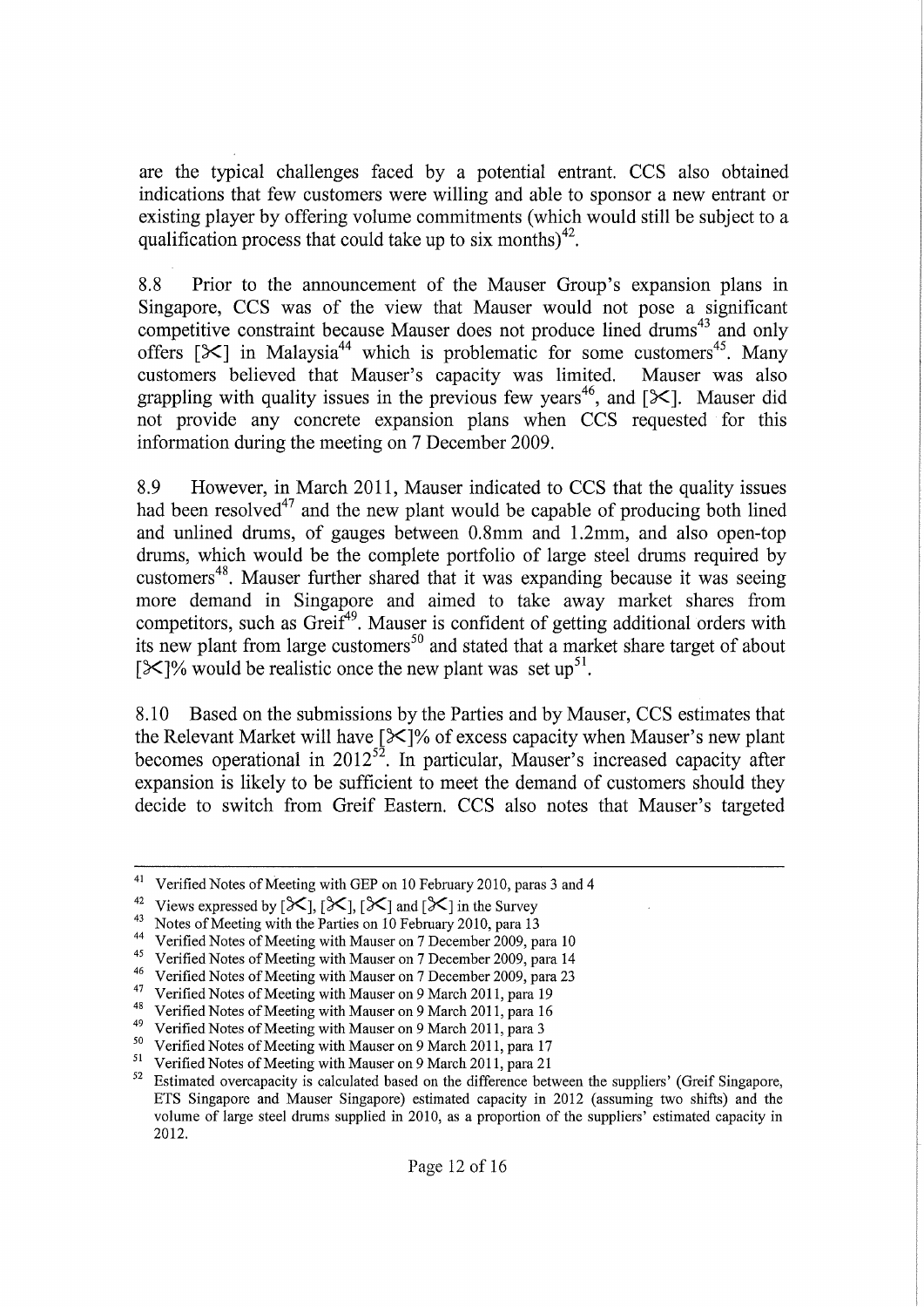are the typical challenges faced by a potential entrant. CCS also obtained indications that few customers were willing and able to sponsor a new entrant or existing player by offering volume commitments (which would still be subject to a qualification process that could take up to six months)<sup>42</sup>.

8.8 Prior to the announcement of the Mauser Group's expansion plans in Singapore, CCS was of the view that Mauser would not pose a significant competitive constraint because Mauser does not produce lined drums<sup>43</sup> and only offers  $[\mathcal{K}]$  in Malaysia<sup>44</sup> which is problematic for some customers<sup>45</sup>. Many customers believed that Mauser's capacity was limited. Mauser was also grappling with quality issues in the previous few years<sup>46</sup>, and [ $\mathcal{K}$ ]. Mauser did not provide any concrete expansion plans when CCS requested for this information during the meeting on 7 December 2009.

8.9 However, in March 2011, Mauser indicated to CCS that the quality issues had been resolved<sup>47</sup> and the new plant would be capable of producing both lined and unlined drums, of gauges between 0.8mm and 1.2mm, and also open-top drums, which would be the complete portfolio of large steel drums required by customers<sup>48</sup>. Mauser further shared that it was expanding because it was seeing more demand in Singapore and aimed to take away market shares from competitors, such as Greif<sup>49</sup>. Mauser is confident of getting additional orders with its new plant from large customers<sup>50</sup> and stated that a market share target of about [ $\mathcal{X}$ ]% would be realistic once the new plant was set up<sup>51</sup>.

8.10 Based on the submissions by the Parties and by Mauser, CCS estimates that the Relevant Market will have  $[\frac{1}{3}]$ % of excess capacity when Mauser's new plant becomes operational in  $2012^{52}$ . In particular, Mauser's increased capacity after expansion is likely to be sufficient to meet the demand of customers should they decide to switch from Greif Eastern. CCS also notes that Mauser's targeted

Verified Notes of Meeting with GEP on 10 February 2010, paras 3 and 4

<sup>&</sup>lt;sup>42</sup> Views expressed by  $[\mathcal{K}]$ ,  $[\mathcal{K}]$ ,  $[\mathcal{K}]$  and  $[\mathcal{K}]$  in the Survey

<sup>&</sup>lt;sup>43</sup> Notes of Meeting with the Parties on 10 February 2010, para 13

<sup>&</sup>lt;sup>44</sup> Verified Notes of Meeting with Mauser on 7 December 2009, para 10

<sup>&</sup>lt;sup>45</sup> Verified Notes of Meeting with Mauser on 7 December 2009, para 14

<sup>&</sup>lt;sup>46</sup> Verified Notes of Meeting with Mauser on 7 December 2009, para 23

<sup>&</sup>lt;sup>47</sup> Verified Notes of Meeting with Mauser on 9 March 2011, para 19

<sup>&</sup>lt;sup>48</sup> Verified Notes of Meeting with Mauser on 9 March 2011, para 16

<sup>&</sup>lt;sup>49</sup> Verified Notes of Meeting with Mauser on 9 March 2011, para 3

<sup>&</sup>lt;sup>50</sup> Verified Notes of Meeting with Mauser on 9 March 2011, para 17

<sup>&</sup>lt;sup>51</sup> Verified Notes of Meeting with Mauser on 9 March 2011, para 21

<sup>&</sup>lt;sup>52</sup> Estimated overcapacity is calculated based on the difference between the suppliers' (Greif Singapore, ETS Singapore and Mauser Singapore) estimated capacity in 2012 (assuming two shifts) and the volume of large steel drums supplied in 2010, as a proportion of the suppliers' estimated capacity in 2012.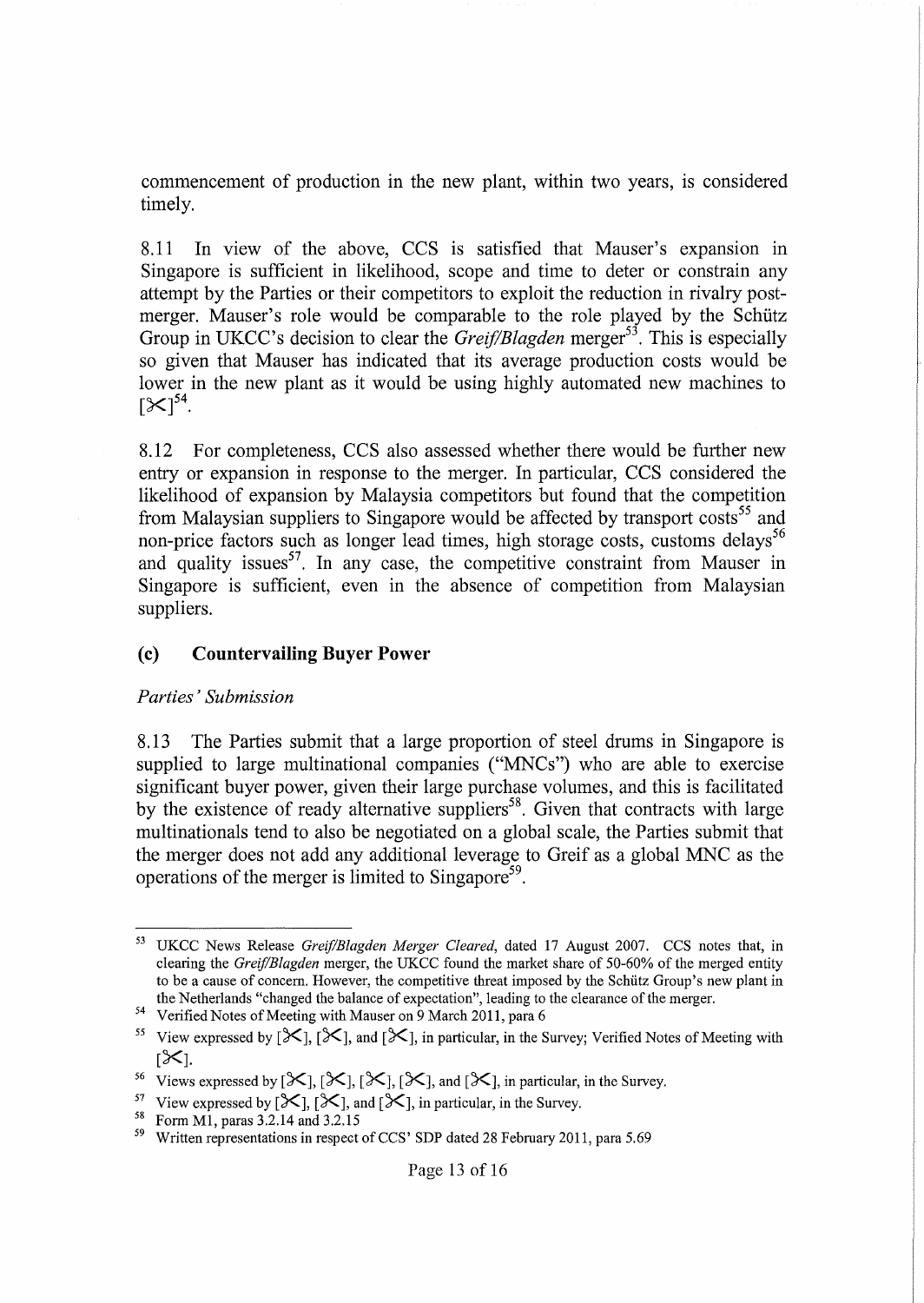commencement of production in the new plant, within two years, is considered timely.

8.11 **In** view of the above, CCS is satisfied that Mauser's expansion in Singapore is sufficient in likelihood, scope and time to deter or constrain any attempt by the Parties or their competitors to exploit the reduction in rivalry postmerger. Mauser's role would be comparable to the role played by the Schütz Group in UKCC's decision to clear the *Greif/Blagden* merger<sup>53</sup>. This is especially so given that Mauser has indicated that its average production costs would be lower in the new plant as it would be using highly automated new machines to  $[X]^{54}$ .

8.12 For completeness, CCS also assessed whether there would be further new entry or expansion in response to the merger. **In** particular, CCS considered the likelihood of expansion by Malaysia competitors but found that the competition from Malaysian suppliers to Singapore would be affected by transport costs<sup>55</sup> and non-price factors such as longer lead times, high storage costs, customs delays<sup>56</sup> and quality issues<sup>57</sup>. In any case, the competitive constraint from Mauser in Singapore is sufficient, even in the absence of competition from Malaysian suppliers.

#### **(c) Countervailing Buyer Power**

#### *Parties'Submission*

8.13 The Parties submit that a large proportion of steel drums in Singapore is supplied to large multinational companies ("MNCs") who are able to exercise significant buyer power, given their large purchase volumes, and this is facilitated by the existence of ready alternative suppliers<sup>58</sup>. Given that contracts with large multinationals tend to also be negotiated on a global scale, the Parties submit that the merger does not add any additional leverage to Greif as a global MNC as the operations of the merger is limited to Singapore<sup>59</sup>.

<sup>&</sup>lt;sup>53</sup> UKCC News Release *Greif/Blagden Merger Cleared*, dated 17 August 2007. CCS notes that, in clearing the *Greif/Blagden* merger, the UKCC found the market share of 50-60% of the merged entity to be a cause of concern. However, the competitive threat imposed by the Schutz Group's new plant in the Netherlands "changed the balance of expectation", leading to the clearance of the merger.

<sup>&</sup>lt;sup>54</sup> Verified Notes of Meeting with Mauser on 9 March 2011, para 6

<sup>&</sup>lt;sup>55</sup> View expressed by  $[\mathcal{K}]$ ,  $[\mathcal{K}]$ , and  $[\mathcal{K}]$ , in particular, in the Survey; Verified Notes of Meeting with  $5\times1$ .

<sup>&</sup>lt;sup>56</sup> Views expressed by  $[\mathcal{K}]$ ,  $[\mathcal{K}]$ ,  $[\mathcal{K}]$ ,  $[\mathcal{K}]$ , and  $[\mathcal{K}]$ , in particular, in the Survey.

<sup>&</sup>lt;sup>57</sup> View expressed by  $[\mathcal{K}], [\mathcal{K}],$  and  $[\mathcal{K}],$  in particular, in the Survey.

<sup>58</sup> Form M1, paras 3.2.14 and 3.2.15

 $59$  Written representations in respect of CCS' SDP dated 28 February 2011, para 5.69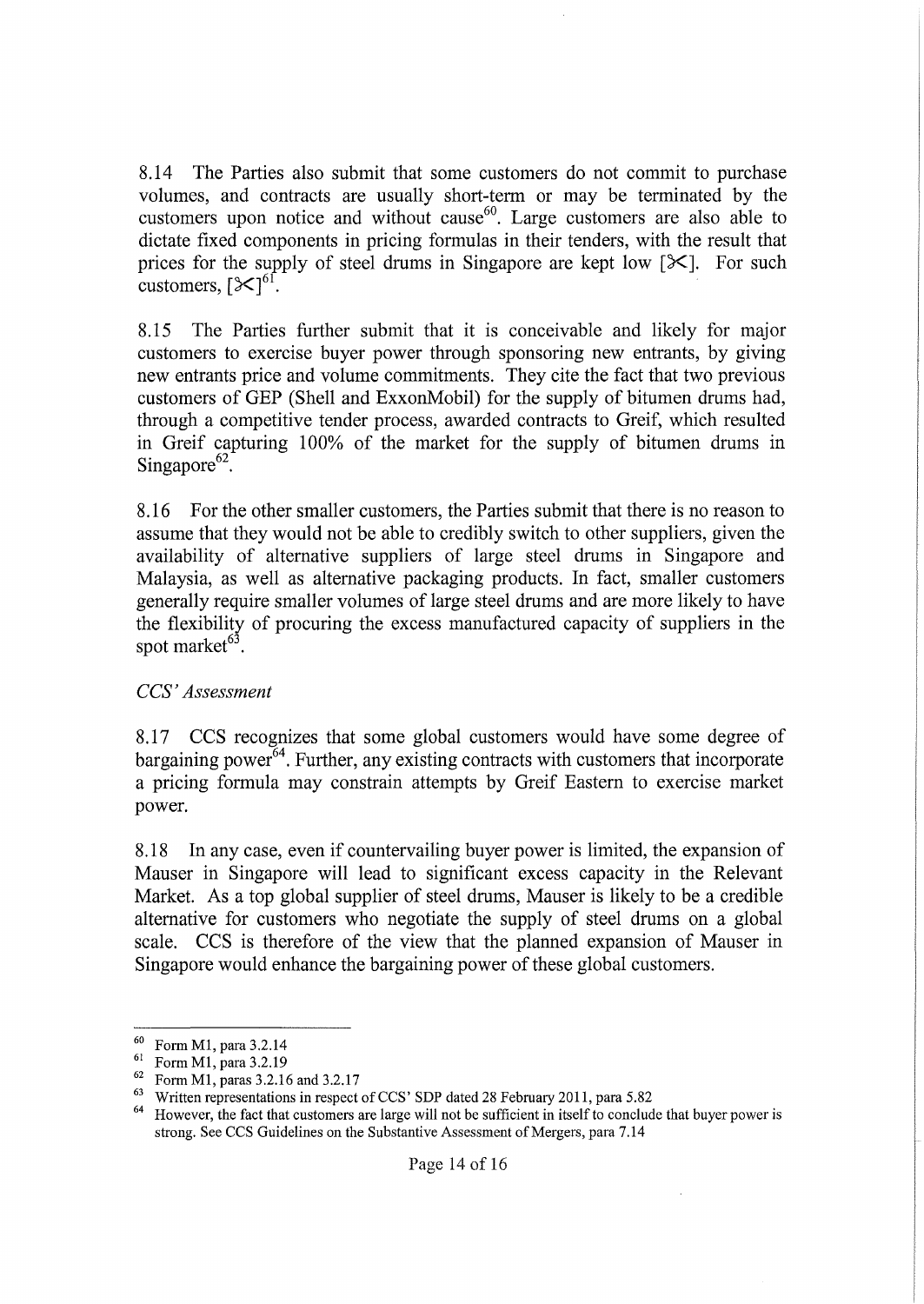8.14 The Parties also submit that some customers do not commit to purchase volumes, and contracts are usually short-term or may be terminated by the customers upon notice and without cause<sup>60</sup>. Large customers are also able to dictate fixed components in pricing formulas in their tenders, with the result that prices for the supply of steel drums in Singapore are kept low  $[\mathcal{K}]$ . For such customers,  $[\mathcal{K}]^{61}$ .

8.15 The Parties further submit that it is conceivable and likely for major customers to exercise buyer power through sponsoring new entrants, by giving new entrants price and volume commitments. They cite the fact that two previous customers of GEP (Shell and ExxonMobil) for the supply of bitumen drums had, through a competitive tender process, awarded contracts to Greif, which resulted in Greif capturing 100% of the market for the supply of bitumen drums in Singapore $^{62}$ .

8.16 For the other smaller customers, the Parties submit that there is no reason to assume that they would not be able to credibly switch to other suppliers, given the availability of alternative suppliers of large steel drums in Singapore and Malaysia, as well as alternative packaging products. **In** fact, smaller customers generally require smaller volumes of large steel drums and are more likely to have the flexibility of procuring the excess manufactured capacity of suppliers in the spot market $63$ .

### *CCS' Assessment*

8.17 CCS recognizes that some global customers would have some degree of bargaining power<sup>64</sup>. Further, any existing contracts with customers that incorporate a pricing formula may constrain attempts by Greif Eastern to exercise market power.

8.18 **In** any case, even if countervailing buyer power is limited, the expansion of Mauser in Singapore will lead to significant excess capacity in the Relevant Market. As a top global supplier of steel drums, Mauser is likely to be a credible alternative for customers who negotiate the supply of steel drums on a global scale. CCS is therefore of the view that the planned expansion of Mauser in Singapore would enhance the bargaining power of these global customers.

<sup>60</sup> Form M1, para 3.2.14

<sup>61</sup> Form M1, para 3.2.19

<sup>62</sup> Form M1, paras 3.2.16 and 3.2.17

<sup>&</sup>lt;sup>63</sup> Written representations in respect of CCS' SDP dated 28 February 2011, para 5.82

<sup>&</sup>lt;sup>64</sup> However, the fact that customers are large will not be sufficient in itself to conclude that buyer power is strong. See CCS Guidelines on the Substantive Assessment of Mergers, para 7.14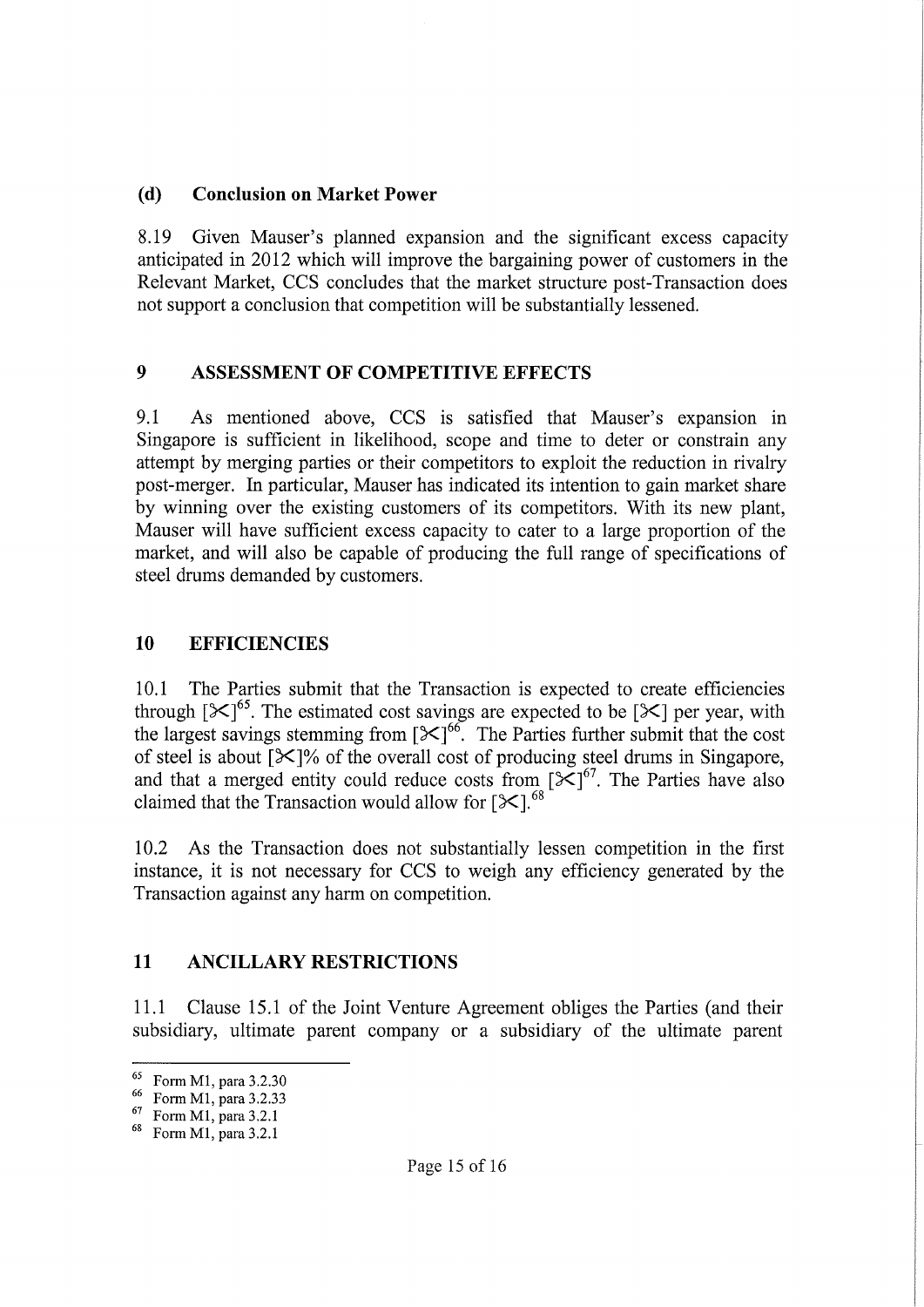## **(d) Conclusion on Market Power**

8.19 Given Mauser's planned expansion and the significant excess capacity anticipated in 2012 which will improve the bargaining power of customers in the Relevant Market, CCS concludes that the market structure post-Transaction does not support a conclusion that competition will be substantially lessened.

## **9 ASSESSMENT OF COMPETITIVE EFFECTS**

9.1 As mentioned above, CCS is satisfied that Mauser's expansion in Singapore is sufficient in likelihood, scope and time to deter or constrain any attempt by merging parties or their competitors to exploit the reduction in rivalry post-merger. In particular, Mauser has indicated its intention to gain market share by winning over the existing customers of its competitors. With its new plant, Mauser will have sufficient excess capacity to cater to a large proportion of the market, and will also be capable of producing the full range of specifications of steel drums demanded by customers.

## **10 EFFICIENCIES**

10.1 The Parties submit that the Transaction is expected to create efficiencies through  $[\mathcal{K}]^{65}$ . The estimated cost savings are expected to be  $[\mathcal{K}]$  per year, with the largest savings stemming from  $[\times]^{66}$ . The Parties further submit that the cost of steel is about  $[\mathcal{K}]$ % of the overall cost of producing steel drums in Singapore, and that a merged entity could reduce costs from  $[\frac{1}{2}]\times]^{67}$ . The Parties have also claimed that the Transaction would allow for  $[ $\times$ ].<sup>68</sup>$ 

10.2 As the Transaction does not substantially lessen competition in the first instance, it is not necessary for CCS to weigh any efficiency generated by the Transaction against any harm on competition.

## **11 ANCILLARY RESTRICTIONS**

11.1 Clause 15.1 of the Joint Venture Agreement obliges the Parties (and their subsidiary, ultimate parent company or a subsidiary of the ultimate parent

<sup>&</sup>lt;sup>65</sup> Form M1, para 3.2.30

<sup>66</sup> Form Ml, para 3.2.33

<sup>67</sup> Form Ml, para 3.2.1

<sup>68</sup> Form Ml, para 3.2.1